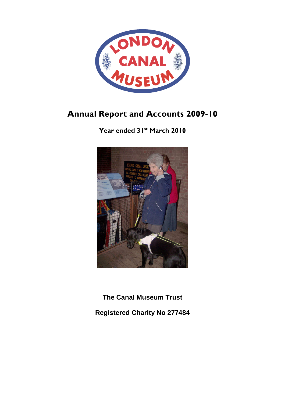

# Annual Report and Accounts 2009-10

Year ended 31<sup>st</sup> March 2010



**The Canal Museum Trust** 

**Registered Charity No 277484**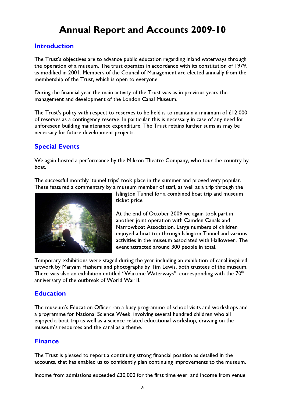# Annual Report and Accounts 2009-10

### Introduction

The Trust's objectives are to advance public education regarding inland waterways through the operation of a museum. The trust operates in accordance with its constitution of 1979, as modified in 2001. Members of the Council of Management are elected annually from the membership of the Trust, which is open to everyone.

During the financial year the main activity of the Trust was as in previous years the management and development of the London Canal Museum.

The Trust's policy with respect to reserves to be held is to maintain a minimum of  $£12,000$ of reserves as a contingency reserve. In particular this is necessary in case of any need for unforeseen building maintenance expenditure. The Trust retains further sums as may be necessary for future development projects.

# Special Events

We again hosted a performance by the Mikron Theatre Company, who tour the country by boat.

The successful monthly 'tunnel trips' took place in the summer and proved very popular. These featured a commentary by a museum member of staff, as well as a trip through the



Islington Tunnel for a combined boat trip and museum ticket price.

At the end of October 2009 we again took part in another joint operation with Camden Canals and Narrowboat Association. Large numbers of children enjoyed a boat trip through Islington Tunnel and various activities in the museum associated with Halloween. The event attracted around 300 people in total.

Temporary exhibitions were staged during the year including an exhibition of canal inspired artwork by Maryam Hashemi and photographs by Tim Lewis, both trustees of the museum. There was also an exhibition entitled "Wartime Waterways", corresponding with the  $70<sup>th</sup>$ anniversary of the outbreak of World War II.

# **Education**

The museum's Education Officer ran a busy programme of school visits and workshops and a programme for National Science Week, involving several hundred children who all enjoyed a boat trip as well as a science related educational workshop, drawing on the museum's resources and the canal as a theme.

# Finance

The Trust is pleased to report a continuing strong financial position as detailed in the accounts, that has enabled us to confidently plan continuing improvements to the museum.

Income from admissions exceeded £30,000 for the first time ever, and income from venue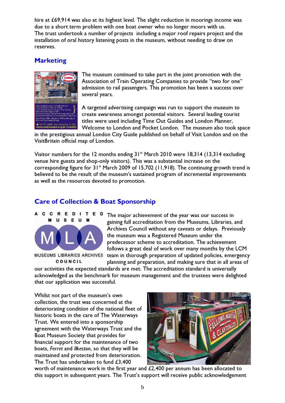hire at £69,914 was also at its highest level. The slight reduction in moorings income was due to a short term problem with one boat owner who no longer moors with us. The trust undertook a number of projects including a major roof repairs project and the installation of oral history listening posts in the museum, without needing to draw on reserves.

# **Marketing**



The museum continued to take part in the joint promotion with the Association of Train Operating Companies to provide "two for one" admission to rail passengers. This promotion has been a success over several years.

A targeted advertising campaign was run to support the museum to create awareness amongst potential visitors. Several leading tourist titles were used including Time Out Guides and London Planner, Welcome to London and Pocket London. The museum also took space

in the prestigious annual London City Guide published on behalf of Visit London and on the VisitBritain official map of London.

Visitor numbers for the 12 months ending  $31^{st}$  March 2010 were 18,314 (13,314 excluding venue hire guests and shop-only visitors). This was a substantial increase on the corresponding figure for  $31^{st}$  March 2009 of 15,702 (11,918). The continuing growth trend is believed to be the result of the museum's sustained program of incremental improvements as well as the resources devoted to promotion.

# Care of Collection & Boat Sponsorship



COUNCIL

The major achievement of the year was our success in gaining full accreditation from the Museums, Libraries, and Archives Council without any caveats or delays. Previously the museum was a Registered Museum under the predecessor scheme to accreditation. The achievement follows a great deal of work over many months by the LCM team in thorough preparation of updated policies, emergency planning and preparation, and making sure that in all areas of

our activities the expected standards are met. The accreditation standard is universally acknowledged as the benchmark for museum management and the trustees were delighted that our application was successful.

Whilst not part of the museum's own collection, the trust was concerned at the deteriorating condition of the national fleet of historic boats in the care of The Waterways Trust. We entered into a sponsorship agreement with the Waterways Trust and the Boat Museum Society that provides for financial support for the maintenance of two boats, Ferret and Ilkeston, so that they will be maintained and protected from deterioration. The Trust has undertaken to fund £3,400



worth of maintenance work in the first year and £2,400 per annum has been allocated to this support in subsequent years. The Trust's support will receive public acknowledgement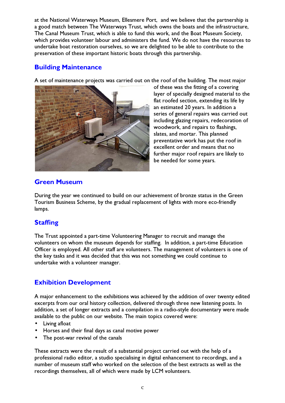at the National Waterways Museum, Ellesmere Port, and we believe that the partnership is a good match between The Waterways Trust, which owns the boats and the infrastructure, The Canal Museum Trust, which is able to fund this work, and the Boat Museum Society, which provides volunteer labour and administers the fund. We do not have the resources to undertake boat restoration ourselves, so we are delighted to be able to contribute to the preservation of these important historic boats through this partnership.

# Building Maintenance

A set of maintenance projects was carried out on the roof of the building. The most major



of these was the fitting of a covering layer of specially designed material to the flat roofed section, extending its life by an estimated 20 years. In addition a series of general repairs was carried out including glazing repairs, redecoration of woodwork, and repairs to flashings, slates, and mortar. This planned preventative work has put the roof in excellent order and means that no further major roof repairs are likely to be needed for some years.

# Green Museum

During the year we continued to build on our achievement of bronze status in the Green Tourism Business Scheme, by the gradual replacement of lights with more eco-friendly lamps.

# **Staffing**

The Trust appointed a part-time Volunteering Manager to recruit and manage the volunteers on whom the museum depends for staffing. In addition, a part-time Education Officer is employed. All other staff are volunteers. The management of volunteers is one of the key tasks and it was decided that this was not something we could continue to undertake with a volunteer manager.

# Exhibition Development

A major enhancement to the exhibitions was achieved by the addition of over twenty edited excerpts from our oral history collection, delivered through three new listening posts. In addition, a set of longer extracts and a compilation in a radio-style documentary were made available to the public on our website. The main topics covered were:

- Living afloat
- Horses and their final days as canal motive power
- The post-war revival of the canals

These extracts were the result of a substantial project carried out with the help of a professional radio editor, a studio specialising in digital enhancement to recordings, and a number of museum staff who worked on the selection of the best extracts as well as the recordings themselves, all of which were made by LCM volunteers.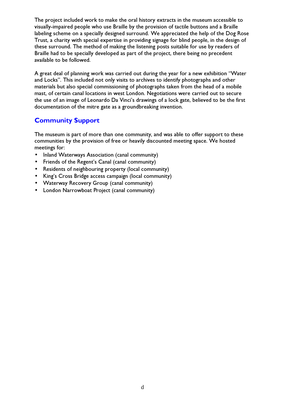The project included work to make the oral history extracts in the museum accessible to visually-impaired people who use Braille by the provision of tactile buttons and a Braille labeling scheme on a specially designed surround. We appreciated the help of the Dog Rose Trust, a charity with special expertise in providing signage for blind people, in the design of these surround. The method of making the listening posts suitable for use by readers of Braille had to be specially developed as part of the project, there being no precedent available to be followed.

A great deal of planning work was carried out during the year for a new exhibition "Water and Locks". This included not only visits to archives to identify photographs and other materials but also special commissioning of photographs taken from the head of a mobile mast, of certain canal locations in west London. Negotiations were carried out to secure the use of an image of Leonardo Da Vinci's drawings of a lock gate, believed to be the first documentation of the mitre gate as a groundbreaking invention.

# Community Support

The museum is part of more than one community, and was able to offer support to these communities by the provision of free or heavily discounted meeting space. We hosted meetings for:

- Inland Waterways Association (canal community)
- Friends of the Regent's Canal (canal community)
- Residents of neighbouring property (local community)
- King's Cross Bridge access campaign (local community)
- Waterway Recovery Group (canal community)
- London Narrowboat Project (canal community)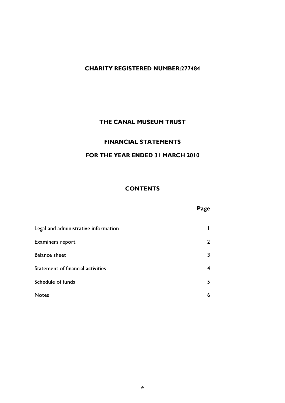#### CHARITY REGISTERED NUMBER:277484

### THE CANAL MUSEUM TRUST

#### FINANCIAL STATEMENTS

### FOR THE YEAR ENDED 31 MARCH 2010

#### **CONTENTS**

### Page

| Legal and administrative information |   |
|--------------------------------------|---|
| Examiners report                     |   |
| <b>Balance sheet</b>                 |   |
| Statement of financial activities    |   |
| Schedule of funds                    |   |
| <b>Notes</b>                         | b |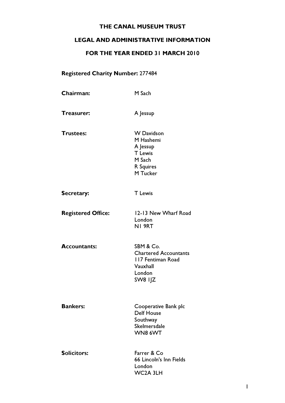# LEGAL AND ADMINISTRATIVE INFORMATION

### FOR THE YEAR ENDED 31 MARCH 2010

# Registered Charity Number: 277484

| <b>Chairman:</b>          | M Sach                                                                                          |
|---------------------------|-------------------------------------------------------------------------------------------------|
| <b>Treasurer:</b>         | A Jessup                                                                                        |
| <b>Trustees:</b>          | <b>W</b> Davidson<br>M Hashemi<br>A Jessup<br><b>T</b> Lewis<br>M Sach<br>R Squires<br>M Tucker |
| <b>Secretary:</b>         | <b>T</b> Lewis                                                                                  |
| <b>Registered Office:</b> | 12-13 New Wharf Road<br>London<br>NI 9RT                                                        |
| <b>Accountants:</b>       | SBM & Co.<br><b>Chartered Accountants</b><br>117 Fentiman Road<br>Vauxhall<br>London<br>SW8 IJZ |
| <b>Bankers:</b>           | Cooperative Bank plc<br><b>Delf House</b><br>Southway<br>Skelmersdale<br>WN8 6WT                |
| <b>Solicitors:</b>        | Farrer & Co<br>66 Lincoln's Inn Fields<br>London                                                |

WC2A 3LH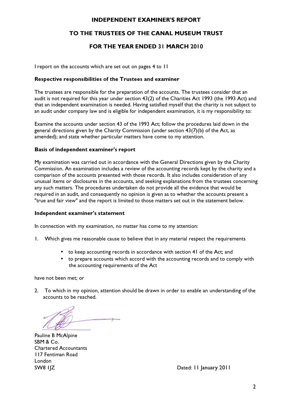#### INDEPENDENT EXAMINER'S REPORT

### TO THE TRUSTEES OF THE CANAL MUSEUM TRUST

### FOR THE YEAR ENDED 31 MARCH 2010

I report on the accounts which are set out on pages 4 to 11

#### Respective responsibilities of the Trustees and examiner

The trustees are responsible for the preparation of the accounts. The trustees consider that an audit is not required for this year under section 43(2) of the Charities Act 1993 (the 1993 Act) and that an independent examination is needed. Having satisfied myself that the charity is not subject to an audit under company law and is eligible for independent examination, it is my responsibility to:

Examine the accounts under section 43 of the 1993 Act; follow the procedures laid down in the general directions given by the Charity Commission (under section 43(7)(b) of the Act, as amended); and state whether particular matters have come to my attention.

#### Basis of independent examiner's report

My examination was carried out in accordance with the General Directions given by the Charity Commission. An examination includes a review of the accounting records kept by the charity and a comparison of the accounts presented with those records. It also includes consideration of any unusual items or disclosures in the accounts, and seeking explanations from the trustees concerning any such matters. The procedures undertaken do not provide all the evidence that would be required in an audit, and consequently no opinion is given as to whether the accounts present a "true and fair view" and the report is limited to those matters set out in the statement below.

#### Independent examiner's statement

In connection with my examination, no matter has come to my attention:

- 1. Which gives me reasonable cause to believe that in any material respect the requirements
	- to keep accounting records in accordance with section 41 of the Act; and
	- to prepare accounts which accord with the accounting records and to comply with the accounting requirements of the Act

have not been met; or

2. To which in my opinion, attention should be drawn in order to enable an understanding of the accounts to be reached.

........................................

Pauline B McAlpine SBM & Co. Chartered Accountants 117 Fentiman Road London

SW8 1JZ Dated: 11 January 2011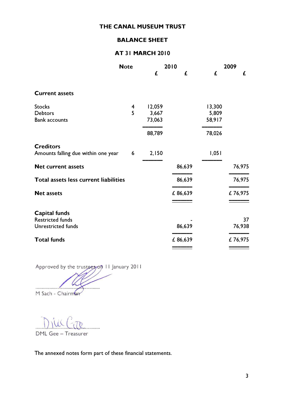### BALANCE SHEET

# AT 31 MARCH 2010

|                                       | <b>Note</b> |        | 2010    |        | 2009    |
|---------------------------------------|-------------|--------|---------|--------|---------|
|                                       |             | £      | £       | £      | £       |
| <b>Current assets</b>                 |             |        |         |        |         |
| <b>Stocks</b>                         | 4           | 12,059 |         | 13,300 |         |
| <b>Debtors</b>                        | 5           | 3,667  |         | 5,809  |         |
| <b>Bank accounts</b>                  |             | 73,063 |         | 58,917 |         |
|                                       |             | 88,789 |         | 78,026 |         |
| <b>Creditors</b>                      |             |        |         |        |         |
| Amounts falling due within one year   | 6           | 2,150  |         | 1,051  |         |
| <b>Net current assets</b>             |             |        | 86,639  |        | 76,975  |
| Total assets less current liabilities |             |        | 86,639  |        | 76,975  |
| <b>Net assets</b>                     |             |        | £86,639 |        | £76,975 |
|                                       |             |        |         |        |         |
| Capital funds                         |             |        |         |        |         |
| <b>Restricted funds</b>               |             |        |         |        | 37      |
| Unrestricted funds                    |             |        | 86,639  |        | 76,938  |
| <b>Total funds</b>                    |             |        | £86,639 |        | £76,975 |
|                                       |             |        |         |        |         |

Approved by the trustees on 11 January 2011

...................................................

M Sach - Chairman

 $\mu$ 

DML Gee – Treasurer

The annexed notes form part of these financial statements.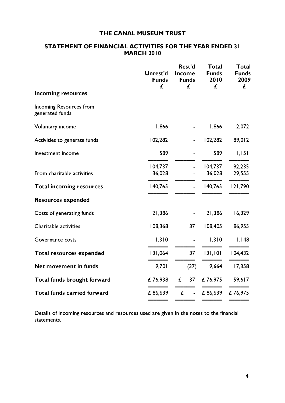#### STATEMENT OF FINANCIAL ACTIVITIES FOR THE YEAR ENDED 31 **MARCH 2010**

|                                                    | <b>Unrest'd</b><br><b>Funds</b><br>£ | Rest'd<br><b>Income</b><br><b>Funds</b><br>£ | <b>Total</b><br><b>Funds</b><br>2010<br>£ | <b>Total</b><br><b>Funds</b><br>2009<br>£ |
|----------------------------------------------------|--------------------------------------|----------------------------------------------|-------------------------------------------|-------------------------------------------|
| <b>Incoming resources</b>                          |                                      |                                              |                                           |                                           |
| <b>Incoming Resources from</b><br>generated funds: |                                      |                                              |                                           |                                           |
| <b>Voluntary income</b>                            | 1,866                                |                                              | 1,866                                     | 2,072                                     |
| Activities to generate funds                       | 102,282                              |                                              | 102,282                                   | 89,012                                    |
| Investment income                                  | 589                                  |                                              | 589                                       | 1,151                                     |
| From charitable activities                         | 104,737<br>36,028                    |                                              | 104,737<br>36,028                         | 92,235<br>29,555                          |
| <b>Total incoming resources</b>                    | 140,765                              |                                              | 140,765                                   | 121,790                                   |
| <b>Resources expended</b>                          |                                      |                                              |                                           |                                           |
| Costs of generating funds                          | 21,386                               |                                              | 21,386                                    | 16,329                                    |
| Charitable activities                              | 108,368                              | 37                                           | 108,405                                   | 86,955                                    |
| Governance costs                                   | 1,310                                |                                              | 1,310                                     | I, I48                                    |
| <b>Total resources expended</b>                    | 131,064                              | 37                                           | 131,101                                   | 104,432                                   |
| Net movement in funds                              | 9,701                                | (37)                                         | 9,664                                     | 17,358                                    |
| Total funds brought forward                        | £76,938                              | £<br>37                                      | £76,975                                   | 59,617                                    |
| <b>Total funds carried forward</b>                 | £86,639                              | £<br>÷,                                      | £86,639                                   | £76,975                                   |
|                                                    |                                      |                                              |                                           |                                           |

Details of incoming resources and resources used are given in the notes to the financial statements.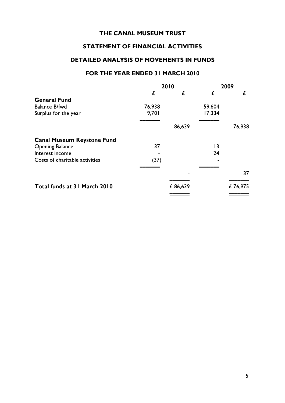### STATEMENT OF FINANCIAL ACTIVITIES

# DETAILED ANALYSIS OF MOVEMENTS IN FUNDS

#### FOR THE YEAR ENDED 31 MARCH 2010

|                                   | 2010   |         | 2009   |         |
|-----------------------------------|--------|---------|--------|---------|
|                                   | £      | £       |        | £       |
| <b>General Fund</b>               |        |         |        |         |
| <b>Balance B/fwd</b>              | 76,938 |         | 59,604 |         |
| Surplus for the year              | 9,701  |         | 17,334 |         |
|                                   |        | 86,639  |        | 76,938  |
| <b>Canal Museum Keystone Fund</b> |        |         |        |         |
| <b>Opening Balance</b>            | 37     |         | 13     |         |
| Interest income                   |        |         | 24     |         |
| Costs of charitable activities    | (37)   |         |        |         |
|                                   |        |         |        | 37      |
| Total funds at 31 March 2010      |        | £86,639 |        | £76,975 |
|                                   |        |         |        |         |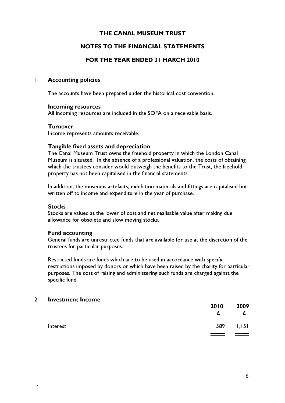#### NOTES TO THE FINANCIAL STATEMENTS

#### FOR THE YEAR ENDED 31 MARCH 2010

#### 1. Accounting policies

The accounts have been prepared under the historical cost convention.

#### Incoming resources

All incoming resources are included in the SOFA on a receivable basis.

#### **Turnover**

Income represents amounts receivable.

#### Tangible fixed assets and depreciation

The Canal Museum Trust owns the freehold property in which the London Canal Museum is situated. In the absence of a professional valuation, the costs of obtaining which the trustees consider would outweigh the benefits to the Trust, the freehold property has not been capitalised in the financial statements.

In addition, the museums artefacts, exhibition materials and fittings are capitalised but written off to income and expenditure in the year of purchase.

#### **Stocks**

Stocks are valued at the lower of cost and net realisable value after making due allowance for obsolete and slow moving stocks.

#### Fund accounting

General funds are unrestricted funds that are available for use at the discretion of the trustees for particular purposes.

Restricted funds are funds which are to be used in accordance with specific restrictions imposed by donors or which have been raised by the charity for particular purposes. The cost of raising and administering such funds are charged against the specific fund.

#### 2. Investment Income

`

|          | 2010 | 2009<br>£ |
|----------|------|-----------|
| Interest | 589  | 1,151     |
|          |      |           |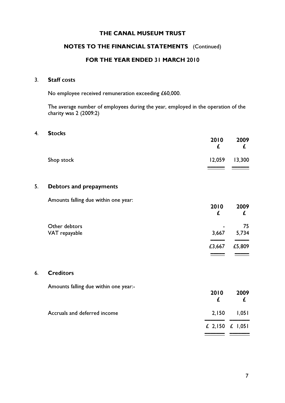### NOTES TO THE FINANCIAL STATEMENTS (Continued)

#### FOR THE YEAR ENDED 31 MARCH 2010

#### 3. Staff costs

No employee received remuneration exceeding £60,000.

The average number of employees during the year, employed in the operation of the charity was 2 (2009:2)

#### 4. Stocks

|            | 2010 | 2009<br>£         |
|------------|------|-------------------|
| Shop stock |      | $12,059$ $13,300$ |

#### 5. Debtors and prepayments

Amounts falling due within one year:

|               | 2010<br>£      | 2009<br>£ |
|---------------|----------------|-----------|
| Other debtors | $\blacksquare$ | 75        |
| VAT repayable | 3,667          | 5,734     |
|               | £3,667         | £5,809    |
|               |                |           |

#### 6. Creditors

Amounts falling due within one year:-

|                              | 2010              | 2009  |
|------------------------------|-------------------|-------|
| Accruals and deferred income | 2,150             | 1,051 |
|                              | £ 2,150 $£$ 1,051 |       |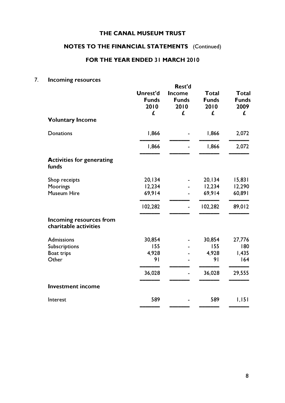# NOTES TO THE FINANCIAL STATEMENTS (Continued)

### FOR THE YEAR ENDED 31 MARCH 2010

# 7. Incoming resources

| <b>Voluntary Income</b>                          | <b>Unrest'd</b><br><b>Funds</b><br>2010<br>£ | Rest'd<br><b>Income</b><br><b>Funds</b><br>2010<br>£ | <b>Total</b><br><b>Funds</b><br>2010<br>£ | <b>Total</b><br><b>Funds</b><br>2009<br>£ |
|--------------------------------------------------|----------------------------------------------|------------------------------------------------------|-------------------------------------------|-------------------------------------------|
| <b>Donations</b>                                 | 1,866                                        |                                                      | 1,866                                     | 2,072                                     |
|                                                  | 1,866                                        |                                                      | 1,866                                     | 2,072                                     |
| <b>Activities for generating</b><br>funds        |                                              |                                                      |                                           |                                           |
| Shop receipts                                    | 20,134                                       |                                                      | 20,134                                    | 15,831                                    |
| Moorings                                         | 12,234                                       |                                                      | 12,234                                    | 12,290                                    |
| <b>Museum Hire</b>                               | 69,914                                       |                                                      | 69,914                                    | 60,891                                    |
|                                                  | 102,282                                      | ä,                                                   | 102,282                                   | 89,012                                    |
| Incoming resources from<br>charitable activities |                                              |                                                      |                                           |                                           |
| <b>Admissions</b>                                | 30,854                                       |                                                      | 30,854                                    | 27,776                                    |
| Subscriptions                                    | 155                                          |                                                      | 155                                       | 180                                       |
| <b>Boat trips</b>                                | 4,928                                        |                                                      | 4,928                                     | 1,435                                     |
| Other                                            | 91                                           |                                                      | 9 <sub>1</sub>                            | 164                                       |
|                                                  | 36,028                                       |                                                      | 36,028                                    | 29,555                                    |
| <b>Investment income</b>                         |                                              |                                                      |                                           |                                           |
| Interest                                         | 589                                          |                                                      | 589                                       | 1,151                                     |
|                                                  |                                              |                                                      |                                           |                                           |